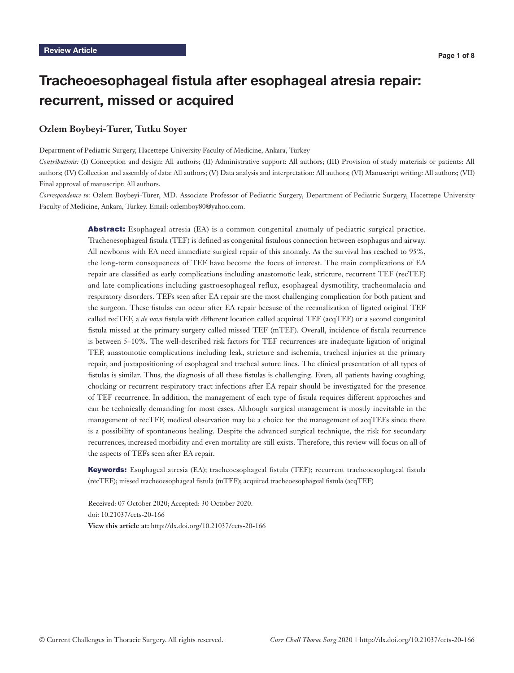# Tracheoesophageal fistula after esophageal atresia repair: recurrent, missed or acquired

## **Ozlem Boybeyi-Turer, Tutku Soyer**

Department of Pediatric Surgery, Hacettepe University Faculty of Medicine, Ankara, Turkey

*Contributions:* (I) Conception and design: All authors; (II) Administrative support: All authors; (III) Provision of study materials or patients: All authors; (IV) Collection and assembly of data: All authors; (V) Data analysis and interpretation: All authors; (VI) Manuscript writing: All authors; (VII) Final approval of manuscript: All authors.

*Correspondence to:* Ozlem Boybeyi-Turer, MD. Associate Professor of Pediatric Surgery, Department of Pediatric Surgery, Hacettepe University Faculty of Medicine, Ankara, Turkey. Email: ozlemboy80@yahoo.com.

> **Abstract:** Esophageal atresia (EA) is a common congenital anomaly of pediatric surgical practice. Tracheoesophageal fistula (TEF) is defined as congenital fistulous connection between esophagus and airway. All newborns with EA need immediate surgical repair of this anomaly. As the survival has reached to 95%, the long-term consequences of TEF have become the focus of interest. The main complications of EA repair are classified as early complications including anastomotic leak, stricture, recurrent TEF (recTEF) and late complications including gastroesophageal reflux, esophageal dysmotility, tracheomalacia and respiratory disorders. TEFs seen after EA repair are the most challenging complication for both patient and the surgeon. These fistulas can occur after EA repair because of the recanalization of ligated original TEF called recTEF, a *de novo* fistula with different location called acquired TEF (acqTEF) or a second congenital fistula missed at the primary surgery called missed TEF (mTEF). Overall, incidence of fistula recurrence is between 5–10%. The well-described risk factors for TEF recurrences are inadequate ligation of original TEF, anastomotic complications including leak, stricture and ischemia, tracheal injuries at the primary repair, and juxtapositioning of esophageal and tracheal suture lines. The clinical presentation of all types of fistulas is similar. Thus, the diagnosis of all these fistulas is challenging. Even, all patients having coughing, chocking or recurrent respiratory tract infections after EA repair should be investigated for the presence of TEF recurrence. In addition, the management of each type of fistula requires different approaches and can be technically demanding for most cases. Although surgical management is mostly inevitable in the management of recTEF, medical observation may be a choice for the management of acqTEFs since there is a possibility of spontaneous healing. Despite the advanced surgical technique, the risk for secondary recurrences, increased morbidity and even mortality are still exists. Therefore, this review will focus on all of the aspects of TEFs seen after EA repair.

> Keywords: Esophageal atresia (EA); tracheoesophageal fistula (TEF); recurrent tracheoesophageal fistula (recTEF); missed tracheoesophageal fistula (mTEF); acquired tracheoesophageal fistula (acqTEF)

Received: 07 October 2020; Accepted: 30 October 2020. doi: 10.21037/ccts-20-166 **View this article at:** http://dx.doi.org/10.21037/ccts-20-166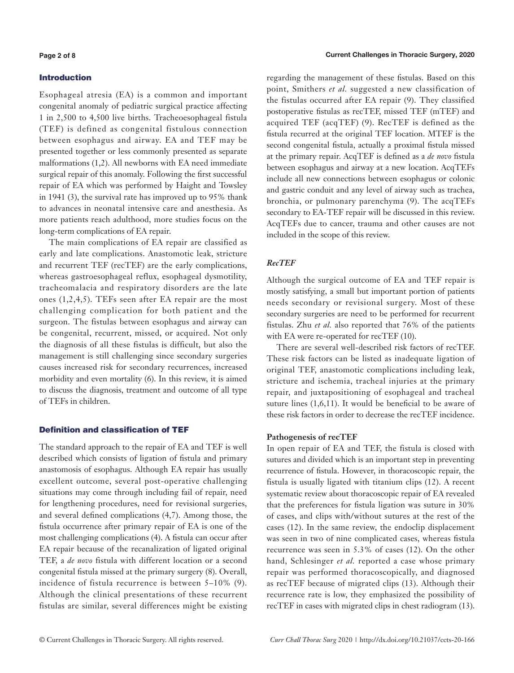## Introduction

Esophageal atresia (EA) is a common and important congenital anomaly of pediatric surgical practice affecting 1 in 2,500 to 4,500 live births. Tracheoesophageal fistula (TEF) is defined as congenital fistulous connection between esophagus and airway. EA and TEF may be presented together or less commonly presented as separate malformations (1,2). All newborns with EA need immediate surgical repair of this anomaly. Following the first successful repair of EA which was performed by Haight and Towsley in 1941 (3), the survival rate has improved up to 95% thank to advances in neonatal intensive care and anesthesia. As more patients reach adulthood, more studies focus on the long-term complications of EA repair.

The main complications of EA repair are classified as early and late complications. Anastomotic leak, stricture and recurrent TEF (recTEF) are the early complications, whereas gastroesophageal reflux, esophageal dysmotility, tracheomalacia and respiratory disorders are the late ones (1,2,4,5). TEFs seen after EA repair are the most challenging complication for both patient and the surgeon. The fistulas between esophagus and airway can be congenital, recurrent, missed, or acquired. Not only the diagnosis of all these fistulas is difficult, but also the management is still challenging since secondary surgeries causes increased risk for secondary recurrences, increased morbidity and even mortality (6). In this review, it is aimed to discuss the diagnosis, treatment and outcome of all type of TEFs in children.

## Definition and classification of TEF

The standard approach to the repair of EA and TEF is well described which consists of ligation of fistula and primary anastomosis of esophagus. Although EA repair has usually excellent outcome, several post-operative challenging situations may come through including fail of repair, need for lengthening procedures, need for revisional surgeries, and several defined complications (4,7). Among those, the fistula occurrence after primary repair of EA is one of the most challenging complications (4). A fistula can occur after EA repair because of the recanalization of ligated original TEF, a *de novo* fistula with different location or a second congenital fistula missed at the primary surgery (8). Overall, incidence of fistula recurrence is between 5–10% (9). Although the clinical presentations of these recurrent fistulas are similar, several differences might be existing

regarding the management of these fistulas. Based on this point, Smithers *et al.* suggested a new classification of the fistulas occurred after EA repair (9). They classified postoperative fistulas as recTEF, missed TEF (mTEF) and acquired TEF (acqTEF) (9). RecTEF is defined as the fistula recurred at the original TEF location. MTEF is the second congenital fistula, actually a proximal fistula missed at the primary repair. AcqTEF is defined as a *de novo* fistula between esophagus and airway at a new location. AcqTEFs include all new connections between esophagus or colonic and gastric conduit and any level of airway such as trachea, bronchia, or pulmonary parenchyma (9). The acqTEFs secondary to EA-TEF repair will be discussed in this review. AcqTEFs due to cancer, trauma and other causes are not included in the scope of this review.

## *RecTEF*

Although the surgical outcome of EA and TEF repair is mostly satisfying, a small but important portion of patients needs secondary or revisional surgery. Most of these secondary surgeries are need to be performed for recurrent fistulas. Zhu *et al.* also reported that 76% of the patients with EA were re-operated for recTEF (10).

There are several well-described risk factors of recTEF. These risk factors can be listed as inadequate ligation of original TEF, anastomotic complications including leak, stricture and ischemia, tracheal injuries at the primary repair, and juxtapositioning of esophageal and tracheal suture lines (1,6,11). It would be beneficial to be aware of these risk factors in order to decrease the recTEF incidence.

## **Pathogenesis of recTEF**

In open repair of EA and TEF, the fistula is closed with sutures and divided which is an important step in preventing recurrence of fistula. However, in thoracoscopic repair, the fistula is usually ligated with titanium clips (12). A recent systematic review about thoracoscopic repair of EA revealed that the preferences for fistula ligation was suture in 30% of cases, and clips with/without sutures at the rest of the cases (12). In the same review, the endoclip displacement was seen in two of nine complicated cases, whereas fistula recurrence was seen in 5.3% of cases (12). On the other hand, Schlesinger *et al.* reported a case whose primary repair was performed thoracoscopically, and diagnosed as recTEF because of migrated clips (13). Although their recurrence rate is low, they emphasized the possibility of recTEF in cases with migrated clips in chest radiogram (13).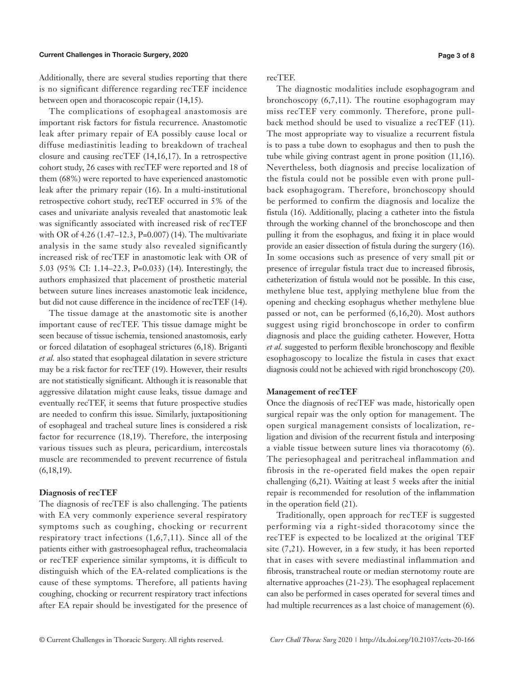#### Current Challenges in Thoracic Surgery, 2020

Additionally, there are several studies reporting that there is no significant difference regarding recTEF incidence between open and thoracoscopic repair (14,15).

The complications of esophageal anastomosis are important risk factors for fistula recurrence. Anastomotic leak after primary repair of EA possibly cause local or diffuse mediastinitis leading to breakdown of tracheal closure and causing recTEF (14,16,17). In a retrospective cohort study, 26 cases with recTEF were reported and 18 of them (68%) were reported to have experienced anastomotic leak after the primary repair (16). In a multi-institutional retrospective cohort study, recTEF occurred in 5% of the cases and univariate analysis revealed that anastomotic leak was significantly associated with increased risk of recTEF with OR of 4.26 (1.47–12.3, P=0.007) (14). The multivariate analysis in the same study also revealed significantly increased risk of recTEF in anastomotic leak with OR of 5.03 (95% CI: 1.14–22.3, P=0.033) (14). Interestingly, the authors emphasized that placement of prosthetic material between suture lines increases anastomotic leak incidence, but did not cause difference in the incidence of recTEF (14).

The tissue damage at the anastomotic site is another important cause of recTEF. This tissue damage might be seen because of tissue ischemia, tensioned anastomosis, early or forced dilatation of esophageal strictures (6,18). Briganti *et al.* also stated that esophageal dilatation in severe stricture may be a risk factor for recTEF (19). However, their results are not statistically significant. Although it is reasonable that aggressive dilatation might cause leaks, tissue damage and eventually recTEF, it seems that future prospective studies are needed to confirm this issue. Similarly, juxtapositioning of esophageal and tracheal suture lines is considered a risk factor for recurrence (18,19). Therefore, the interposing various tissues such as pleura, pericardium, intercostals muscle are recommended to prevent recurrence of fistula (6,18,19).

## **Diagnosis of recTEF**

The diagnosis of recTEF is also challenging. The patients with EA very commonly experience several respiratory symptoms such as coughing, chocking or recurrent respiratory tract infections  $(1,6,7,11)$ . Since all of the patients either with gastroesophageal reflux, tracheomalacia or recTEF experience similar symptoms, it is difficult to distinguish which of the EA-related complications is the cause of these symptoms. Therefore, all patients having coughing, chocking or recurrent respiratory tract infections after EA repair should be investigated for the presence of recTEF.

The diagnostic modalities include esophagogram and bronchoscopy (6,7,11). The routine esophagogram may miss recTEF very commonly. Therefore, prone pullback method should be used to visualize a recTEF (11). The most appropriate way to visualize a recurrent fistula is to pass a tube down to esophagus and then to push the tube while giving contrast agent in prone position (11,16). Nevertheless, both diagnosis and precise localization of the fistula could not be possible even with prone pullback esophagogram. Therefore, bronchoscopy should be performed to confirm the diagnosis and localize the fistula (16). Additionally, placing a catheter into the fistula through the working channel of the bronchoscope and then pulling it from the esophagus, and fixing it in place would provide an easier dissection of fistula during the surgery (16). In some occasions such as presence of very small pit or presence of irregular fistula tract due to increased fibrosis, catheterization of fistula would not be possible. In this case, methylene blue test, applying methylene blue from the opening and checking esophagus whether methylene blue passed or not, can be performed (6,16,20). Most authors suggest using rigid bronchoscope in order to confirm diagnosis and place the guiding catheter. However, Hotta *et al.* suggested to perform flexible bronchoscopy and flexible esophagoscopy to localize the fistula in cases that exact diagnosis could not be achieved with rigid bronchoscopy (20).

## **Management of recTEF**

Once the diagnosis of recTEF was made, historically open surgical repair was the only option for management. The open surgical management consists of localization, religation and division of the recurrent fistula and interposing a viable tissue between suture lines via thoracotomy (6). The periesophageal and peritracheal inflammation and fibrosis in the re-operated field makes the open repair challenging (6,21). Waiting at least 5 weeks after the initial repair is recommended for resolution of the inflammation in the operation field (21).

Traditionally, open approach for recTEF is suggested performing via a right-sided thoracotomy since the recTEF is expected to be localized at the original TEF site (7,21). However, in a few study, it has been reported that in cases with severe mediastinal inflammation and fibrosis, transtracheal route or median sternotomy route are alternative approaches (21-23). The esophageal replacement can also be performed in cases operated for several times and had multiple recurrences as a last choice of management (6).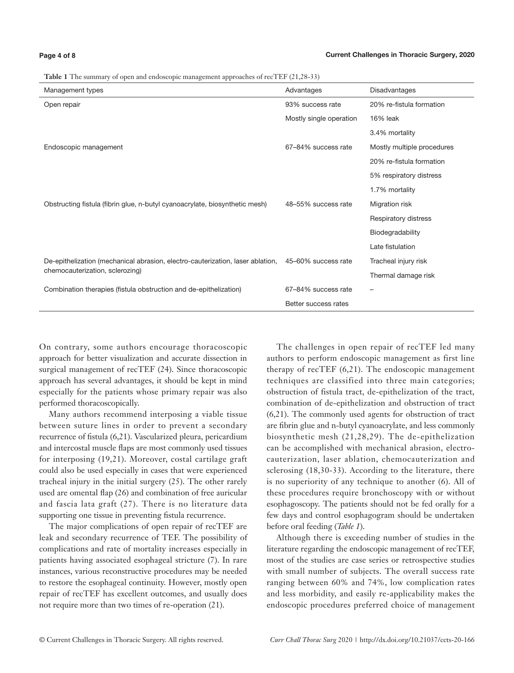#### **Page 4 of 8**

|  |  | Table 1 The summary of open and endoscopic management approaches of recTEF (21,28-33) |  |  |
|--|--|---------------------------------------------------------------------------------------|--|--|
|  |  |                                                                                       |  |  |

| $\tilde{\phantom{a}}$<br>TT.                                                                       |                         |                            |  |
|----------------------------------------------------------------------------------------------------|-------------------------|----------------------------|--|
| Management types                                                                                   | Advantages              | Disadvantages              |  |
| Open repair                                                                                        | 93% success rate        | 20% re-fistula formation   |  |
|                                                                                                    | Mostly single operation | <b>16% leak</b>            |  |
|                                                                                                    |                         | 3.4% mortality             |  |
| Endoscopic management                                                                              | 67-84% success rate     | Mostly multiple procedures |  |
|                                                                                                    |                         | 20% re-fistula formation   |  |
|                                                                                                    |                         | 5% respiratory distress    |  |
|                                                                                                    |                         | 1.7% mortality             |  |
| Obstructing fistula (fibrin glue, n-butyl cyanoacrylate, biosynthetic mesh)                        | 48-55% success rate     | Migration risk             |  |
|                                                                                                    |                         | Respiratory distress       |  |
|                                                                                                    |                         | Biodegradability           |  |
|                                                                                                    |                         | Late fistulation           |  |
| De-epithelization (mechanical abrasion, electro-cauterization, laser ablation, 45-60% success rate |                         | Tracheal injury risk       |  |
| chemocauterization, sclerozing)                                                                    |                         | Thermal damage risk        |  |
| Combination therapies (fistula obstruction and de-epithelization)                                  | 67-84% success rate     |                            |  |
|                                                                                                    | Better success rates    |                            |  |

On contrary, some authors encourage thoracoscopic approach for better visualization and accurate dissection in surgical management of recTEF (24). Since thoracoscopic approach has several advantages, it should be kept in mind especially for the patients whose primary repair was also performed thoracoscopically.

Many authors recommend interposing a viable tissue between suture lines in order to prevent a secondary recurrence of fistula (6,21). Vascularized pleura, pericardium and intercostal muscle flaps are most commonly used tissues for interposing (19,21). Moreover, costal cartilage graft could also be used especially in cases that were experienced tracheal injury in the initial surgery (25). The other rarely used are omental flap (26) and combination of free auricular and fascia lata graft (27). There is no literature data supporting one tissue in preventing fistula recurrence.

The major complications of open repair of recTEF are leak and secondary recurrence of TEF. The possibility of complications and rate of mortality increases especially in patients having associated esophageal stricture (7). In rare instances, various reconstructive procedures may be needed to restore the esophageal continuity. However, mostly open repair of recTEF has excellent outcomes, and usually does not require more than two times of re-operation (21).

The challenges in open repair of recTEF led many authors to perform endoscopic management as first line therapy of recTEF (6,21). The endoscopic management techniques are classified into three main categories; obstruction of fistula tract, de-epithelization of the tract, combination of de-epithelization and obstruction of tract (6,21). The commonly used agents for obstruction of tract are fibrin glue and n-butyl cyanoacrylate, and less commonly biosynthetic mesh (21,28,29). The de-epithelization can be accomplished with mechanical abrasion, electrocauterization, laser ablation, chemocauterization and sclerosing (18,30-33). According to the literature, there is no superiority of any technique to another (6). All of these procedures require bronchoscopy with or without esophagoscopy. The patients should not be fed orally for a few days and control esophagogram should be undertaken before oral feeding (*Table 1*).

Although there is exceeding number of studies in the literature regarding the endoscopic management of recTEF, most of the studies are case series or retrospective studies with small number of subjects. The overall success rate ranging between 60% and 74%, low complication rates and less morbidity, and easily re-applicability makes the endoscopic procedures preferred choice of management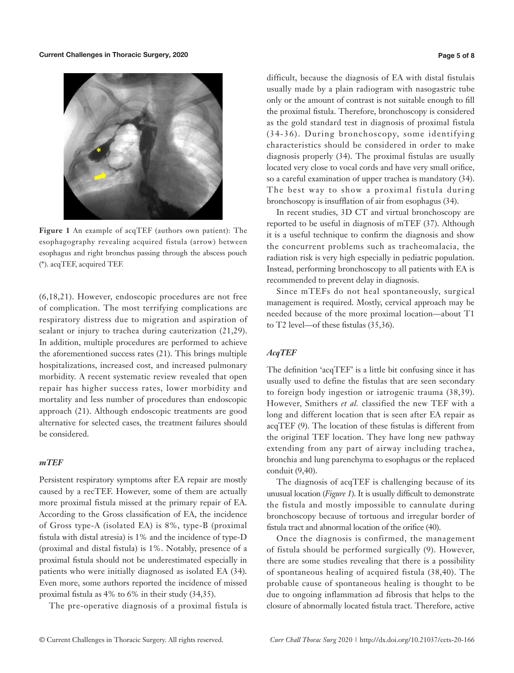Current Challenges in Thoracic Surgery, 2020



**Figure 1** An example of acqTEF (authors own patient): The esophagography revealing acquired fistula (arrow) between esophagus and right bronchus passing through the abscess pouch (\*). acqTEF, acquired TEF.

(6,18,21). However, endoscopic procedures are not free of complication. The most terrifying complications are respiratory distress due to migration and aspiration of sealant or injury to trachea during cauterization (21,29). In addition, multiple procedures are performed to achieve the aforementioned success rates (21). This brings multiple hospitalizations, increased cost, and increased pulmonary morbidity. A recent systematic review revealed that open repair has higher success rates, lower morbidity and mortality and less number of procedures than endoscopic approach (21). Although endoscopic treatments are good alternative for selected cases, the treatment failures should be considered.

## *mTEF*

Persistent respiratory symptoms after EA repair are mostly caused by a recTEF. However, some of them are actually more proximal fistula missed at the primary repair of EA. According to the Gross classification of EA, the incidence of Gross type-A (isolated EA) is 8%, type-B (proximal fistula with distal atresia) is 1% and the incidence of type-D (proximal and distal fistula) is 1%. Notably, presence of a proximal fistula should not be underestimated especially in patients who were initially diagnosed as isolated EA (34). Even more, some authors reported the incidence of missed proximal fistula as 4% to 6% in their study (34,35).

The pre-operative diagnosis of a proximal fistula is

difficult, because the diagnosis of EA with distal fistulais usually made by a plain radiogram with nasogastric tube only or the amount of contrast is not suitable enough to fill the proximal fistula. Therefore, bronchoscopy is considered as the gold standard test in diagnosis of proximal fistula (34-36). During bronchoscopy, some identifying characteristics should be considered in order to make diagnosis properly (34). The proximal fistulas are usually located very close to vocal cords and have very small orifice, so a careful examination of upper trachea is mandatory (34). The best way to show a proximal fistula during bronchoscopy is insufflation of air from esophagus (34).

In recent studies, 3D CT and virtual bronchoscopy are reported to be useful in diagnosis of mTEF (37). Although it is a useful technique to confirm the diagnosis and show the concurrent problems such as tracheomalacia, the radiation risk is very high especially in pediatric population. Instead, performing bronchoscopy to all patients with EA is recommended to prevent delay in diagnosis.

Since mTEFs do not heal spontaneously, surgical management is required. Mostly, cervical approach may be needed because of the more proximal location—about T1 to T2 level—of these fistulas (35,36).

# *AcqTEF*

The definition 'acqTEF' is a little bit confusing since it has usually used to define the fistulas that are seen secondary to foreign body ingestion or iatrogenic trauma (38,39). However, Smithers *et al.* classified the new TEF with a long and different location that is seen after EA repair as acqTEF (9). The location of these fistulas is different from the original TEF location. They have long new pathway extending from any part of airway including trachea, bronchia and lung parenchyma to esophagus or the replaced conduit (9,40).

The diagnosis of acqTEF is challenging because of its unusual location (*Figure 1*). It is usually difficult to demonstrate the fistula and mostly impossible to cannulate during bronchoscopy because of tortuous and irregular border of fistula tract and abnormal location of the orifice (40).

Once the diagnosis is confirmed, the management of fistula should be performed surgically (9). However, there are some studies revealing that there is a possibility of spontaneous healing of acquired fistula (38,40). The probable cause of spontaneous healing is thought to be due to ongoing inflammation ad fibrosis that helps to the closure of abnormally located fistula tract. Therefore, active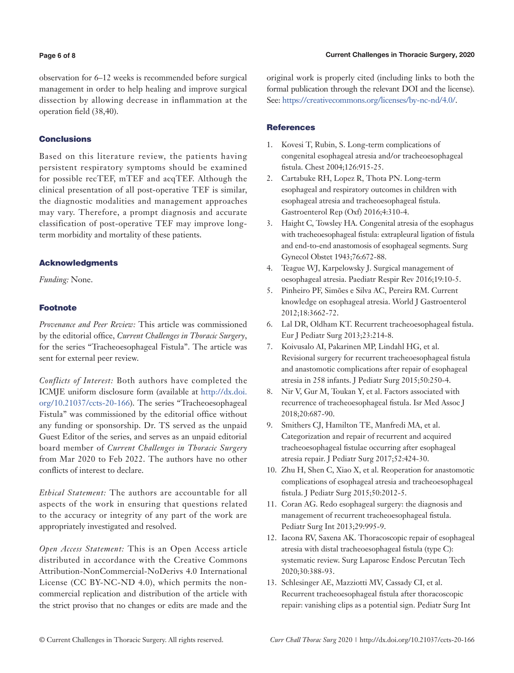### **Page 6 of 8**

observation for 6–12 weeks is recommended before surgical management in order to help healing and improve surgical dissection by allowing decrease in inflammation at the operation field (38,40).

## **Conclusions**

Based on this literature review, the patients having persistent respiratory symptoms should be examined for possible recTEF, mTEF and acqTEF. Although the clinical presentation of all post-operative TEF is similar, the diagnostic modalities and management approaches may vary. Therefore, a prompt diagnosis and accurate classification of post-operative TEF may improve longterm morbidity and mortality of these patients.

# Acknowledgments

*Funding:* None.

# Footnote

*Provenance and Peer Review:* This article was commissioned by the editorial office, *Current Challenges in Thoracic Surgery*, for the series "Tracheoesophageal Fistula". The article was sent for external peer review.

*Conflicts of Interest:* Both authors have completed the ICMJE uniform disclosure form (available at [http://dx.doi.](http://dx.doi.org/10.21037/ccts-20-166) [org/10.21037/ccts-20-166](http://dx.doi.org/10.21037/ccts-20-166)). The series "Tracheoesophageal Fistula" was commissioned by the editorial office without any funding or sponsorship. Dr. TS served as the unpaid Guest Editor of the series, and serves as an unpaid editorial board member of *Current Challenges in Thoracic Surgery*  from Mar 2020 to Feb 2022. The authors have no other conflicts of interest to declare.

*Ethical Statement:* The authors are accountable for all aspects of the work in ensuring that questions related to the accuracy or integrity of any part of the work are appropriately investigated and resolved.

*Open Access Statement:* This is an Open Access article distributed in accordance with the Creative Commons Attribution-NonCommercial-NoDerivs 4.0 International License (CC BY-NC-ND 4.0), which permits the noncommercial replication and distribution of the article with the strict proviso that no changes or edits are made and the original work is properly cited (including links to both the formal publication through the relevant DOI and the license). See: [https://creativecommons.org/licenses/by-nc-nd/4.0/.](https://creativecommons.org/licenses/by-nc-nd/4.0/)

# **References**

- 1. Kovesi T, Rubin, S. Long-term complications of congenital esophageal atresia and/or tracheoesophageal fistula. Chest 2004;126:915-25.
- 2. Cartabuke RH, Lopez R, Thota PN. Long-term esophageal and respiratory outcomes in children with esophageal atresia and tracheoesophageal fistula. Gastroenterol Rep (Oxf) 2016;4:310-4.
- 3. Haight C, Towsley HA. Congenital atresia of the esophagus with tracheoesophageal fistula: extrapleural ligation of fistula and end-to-end anastomosis of esophageal segments. Surg Gynecol Obstet 1943;76:672-88.
- 4. Teague WJ, Karpelowsky J. Surgical management of oesophageal atresia. Paediatr Respir Rev 2016;19:10-5.
- 5. Pinheiro PF, Simões e Silva AC, Pereira RM. Current knowledge on esophageal atresia. World J Gastroenterol 2012;18:3662-72.
- 6. Lal DR, Oldham KT. Recurrent tracheoesophageal fistula. Eur J Pediatr Surg 2013;23:214-8.
- 7. Koivusalo AI, Pakarinen MP, Lindahl HG, et al. Revisional surgery for recurrent tracheoesophageal fistula and anastomotic complications after repair of esophageal atresia in 258 infants. J Pediatr Surg 2015;50:250-4.
- 8. Nir V, Gur M, Toukan Y, et al. Factors associated with recurrence of tracheoesophageal fistula. Isr Med Assoc J 2018;20:687-90.
- 9. Smithers CJ, Hamilton TE, Manfredi MA, et al. Categorization and repair of recurrent and acquired tracheoesophageal fistulae occurring after esophageal atresia repair. J Pediatr Surg 2017;52:424-30.
- 10. Zhu H, Shen C, Xiao X, et al. Reoperation for anastomotic complications of esophageal atresia and tracheoesophageal fistula. J Pediatr Surg 2015;50:2012-5.
- 11. Coran AG. Redo esophageal surgery: the diagnosis and management of recurrent tracheoesophageal fistula. Pediatr Surg Int 2013;29:995-9.
- 12. Iacona RV, Saxena AK. Thoracoscopic repair of esophageal atresia with distal tracheoesophageal fistula (type C): systematic review. Surg Laparosc Endosc Percutan Tech 2020;30:388-93.
- 13. Schlesinger AE, Mazziotti MV, Cassady CI, et al. Recurrent tracheoesophageal fistula after thoracoscopic repair: vanishing clips as a potential sign. Pediatr Surg Int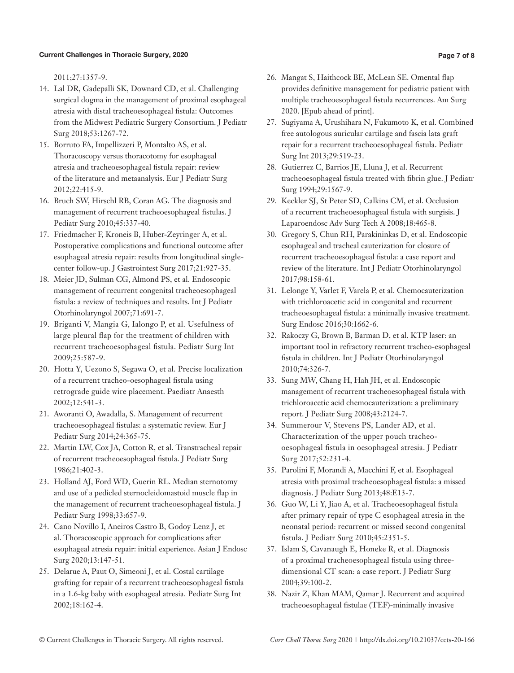#### Current Challenges in Thoracic Surgery, 2020

2011;27:1357-9.

- 14. Lal DR, Gadepalli SK, Downard CD, et al. Challenging surgical dogma in the management of proximal esophageal atresia with distal tracheoesophageal fistula: Outcomes from the Midwest Pediatric Surgery Consortium. J Pediatr Surg 2018;53:1267-72.
- 15. Borruto FA, Impellizzeri P, Montalto AS, et al. Thoracoscopy versus thoracotomy for esophageal atresia and tracheoesophageal fistula repair: review of the literature and metaanalysis. Eur J Pediatr Surg 2012;22:415-9.
- 16. Bruch SW, Hirschl RB, Coran AG. The diagnosis and management of recurrent tracheoesophageal fistulas. J Pediatr Surg 2010;45:337-40.
- 17. Friedmacher F, Kroneis B, Huber-Zeyringer A, et al. Postoperative complications and functional outcome after esophageal atresia repair: results from longitudinal singlecenter follow-up. J Gastrointest Surg 2017;21:927-35.
- 18. Meier JD, Sulman CG, Almond PS, et al. Endoscopic management of recurrent congenital tracheoesophageal fistula: a review of techniques and results. Int J Pediatr Otorhinolaryngol 2007;71:691-7.
- 19. Briganti V, Mangia G, Ialongo P, et al. Usefulness of large pleural flap for the treatment of children with recurrent tracheoesophageal fistula. Pediatr Surg Int 2009;25:587-9.
- 20. Hotta Y, Uezono S, Segawa O, et al. Precise localization of a recurrent tracheo-oesophageal fistula using retrograde guide wire placement. Paediatr Anaesth 2002;12:541-3.
- 21. Aworanti O, Awadalla, S. Management of recurrent tracheoesophageal fistulas: a systematic review. Eur J Pediatr Surg 2014;24:365-75.
- 22. Martin LW, Cox JA, Cotton R, et al. Transtracheal repair of recurrent tracheoesophageal fistula. J Pediatr Surg 1986;21:402-3.
- 23. Holland AJ, Ford WD, Guerin RL. Median sternotomy and use of a pedicled sternocleidomastoid muscle flap in the management of recurrent tracheoesophageal fistula. J Pediatr Surg 1998;33:657-9.
- 24. Cano Novillo I, Aneiros Castro B, Godoy Lenz J, et al. Thoracoscopic approach for complications after esophageal atresia repair: initial experience. Asian J Endosc Surg 2020;13:147-51.
- 25. Delarue A, Paut O, Simeoni J, et al. Costal cartilage grafting for repair of a recurrent tracheoesophageal fistula in a 1.6-kg baby with esophageal atresia. Pediatr Surg Int 2002;18:162-4.
- 26. Mangat S, Haithcock BE, McLean SE. Omental flap provides definitive management for pediatric patient with multiple tracheoesophageal fistula recurrences. Am Surg 2020. [Epub ahead of print].
- 27. Sugiyama A, Urushihara N, Fukumoto K, et al. Combined free autologous auricular cartilage and fascia lata graft repair for a recurrent tracheoesophageal fistula. Pediatr Surg Int 2013;29:519-23.
- 28. Gutierrez C, Barrios JE, Lluna J, et al. Recurrent tracheoesophageal fistula treated with fibrin glue. J Pediatr Surg 1994;29:1567-9.
- 29. Keckler SJ, St Peter SD, Calkins CM, et al. Occlusion of a recurrent tracheoesophageal fistula with surgisis. J Laparoendosc Adv Surg Tech A 2008;18:465-8.
- 30. Gregory S, Chun RH, Parakininkas D, et al. Endoscopic esophageal and tracheal cauterization for closure of recurrent tracheoesophageal fistula: a case report and review of the literature. Int J Pediatr Otorhinolaryngol 2017;98:158-61.
- 31. Lelonge Y, Varlet F, Varela P, et al. Chemocauterization with trichloroacetic acid in congenital and recurrent tracheoesophageal fistula: a minimally invasive treatment. Surg Endosc 2016;30:1662-6.
- 32. Rakoczy G, Brown B, Barman D, et al. KTP laser: an important tool in refractory recurrent tracheo-esophageal fistula in children. Int J Pediatr Otorhinolaryngol 2010;74:326-7.
- 33. Sung MW, Chang H, Hah JH, et al. Endoscopic management of recurrent tracheoesophageal fistula with trichloroacetic acid chemocauterization: a preliminary report. J Pediatr Surg 2008;43:2124-7.
- 34. Summerour V, Stevens PS, Lander AD, et al. Characterization of the upper pouch tracheooesophageal fistula in oesophageal atresia. J Pediatr Surg 2017;52:231-4.
- 35. Parolini F, Morandi A, Macchini F, et al. Esophageal atresia with proximal tracheoesophageal fistula: a missed diagnosis. J Pediatr Surg 2013;48:E13-7.
- 36. Guo W, Li Y, Jiao A, et al. Tracheoesophageal fistula after primary repair of type C esophageal atresia in the neonatal period: recurrent or missed second congenital fistula. J Pediatr Surg 2010;45:2351-5.
- 37. Islam S, Cavanaugh E, Honeke R, et al. Diagnosis of a proximal tracheoesophageal fistula using threedimensional CT scan: a case report. J Pediatr Surg 2004;39:100-2.
- 38. Nazir Z, Khan MAM, Qamar J. Recurrent and acquired tracheoesophageal fistulae (TEF)-minimally invasive